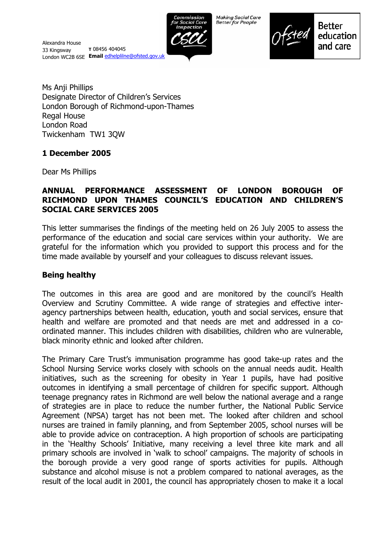

**Making Social Care Better for People** 



**Better** education and care

Ms Anji Phillips Designate Director of Children's Services London Borough of Richmond-upon-Thames Regal House London Road Twickenham TW1 3QW

# **1 December 2005**

Dear Ms Phillips

## **ANNUAL PERFORMANCE ASSESSMENT OF LONDON BOROUGH OF RICHMOND UPON THAMES COUNCILíS EDUCATION AND CHILDRENíS SOCIAL CARE SERVICES 2005**

This letter summarises the findings of the meeting held on 26 July 2005 to assess the performance of the education and social care services within your authority. We are grateful for the information which you provided to support this process and for the time made available by yourself and your colleagues to discuss relevant issues.

# **Being healthy**

The outcomes in this area are good and are monitored by the council's Health Overview and Scrutiny Committee. A wide range of strategies and effective interagency partnerships between health, education, youth and social services, ensure that health and welfare are promoted and that needs are met and addressed in a coordinated manner. This includes children with disabilities, children who are vulnerable, black minority ethnic and looked after children.

The Primary Care Trust's immunisation programme has good take-up rates and the School Nursing Service works closely with schools on the annual needs audit. Health initiatives, such as the screening for obesity in Year 1 pupils, have had positive outcomes in identifying a small percentage of children for specific support. Although teenage pregnancy rates in Richmond are well below the national average and a range of strategies are in place to reduce the number further, the National Public Service Agreement (NPSA) target has not been met. The looked after children and school nurses are trained in family planning, and from September 2005, school nurses will be able to provide advice on contraception. A high proportion of schools are participating in the 'Healthy Schools' Initiative, many receiving a level three kite mark and all primary schools are involved in 'walk to school' campaigns. The majority of schools in the borough provide a very good range of sports activities for pupils. Although substance and alcohol misuse is not a problem compared to national averages, as the result of the local audit in 2001, the council has appropriately chosen to make it a local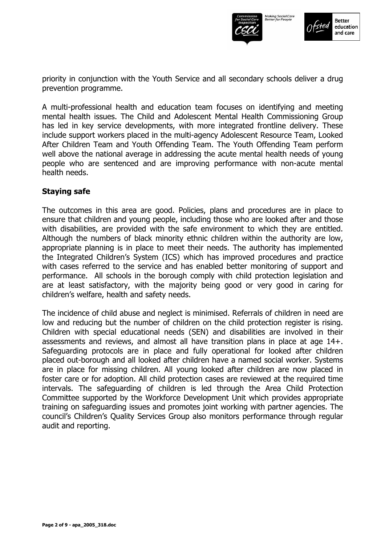



priority in conjunction with the Youth Service and all secondary schools deliver a drug prevention programme.

A multi-professional health and education team focuses on identifying and meeting mental health issues. The Child and Adolescent Mental Health Commissioning Group has led in key service developments, with more integrated frontline delivery. These include support workers placed in the multi-agency Adolescent Resource Team, Looked After Children Team and Youth Offending Team. The Youth Offending Team perform well above the national average in addressing the acute mental health needs of young people who are sentenced and are improving performance with non-acute mental health needs.

#### **Staying safe**

The outcomes in this area are good. Policies, plans and procedures are in place to ensure that children and young people, including those who are looked after and those with disabilities, are provided with the safe environment to which they are entitled. Although the numbers of black minority ethnic children within the authority are low, appropriate planning is in place to meet their needs. The authority has implemented the Integrated Childrenís System (ICS) which has improved procedures and practice with cases referred to the service and has enabled better monitoring of support and performance. All schools in the borough comply with child protection legislation and are at least satisfactory, with the majority being good or very good in caring for children's welfare, health and safety needs.

The incidence of child abuse and neglect is minimised. Referrals of children in need are low and reducing but the number of children on the child protection register is rising. Children with special educational needs (SEN) and disabilities are involved in their assessments and reviews, and almost all have transition plans in place at age 14+. Safeguarding protocols are in place and fully operational for looked after children placed out-borough and all looked after children have a named social worker. Systems are in place for missing children. All young looked after children are now placed in foster care or for adoption. All child protection cases are reviewed at the required time intervals. The safeguarding of children is led through the Area Child Protection Committee supported by the Workforce Development Unit which provides appropriate training on safeguarding issues and promotes joint working with partner agencies. The council's Children's Quality Services Group also monitors performance through regular audit and reporting.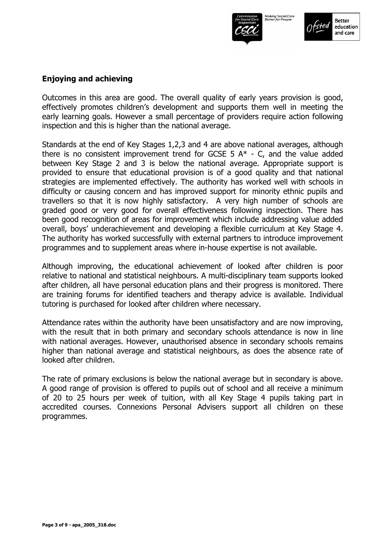

**Better** education and care

# **Enjoying and achieving**

Outcomes in this area are good. The overall quality of early years provision is good, effectively promotes children's development and supports them well in meeting the early learning goals. However a small percentage of providers require action following inspection and this is higher than the national average.

Standards at the end of Key Stages 1,2,3 and 4 are above national averages, although there is no consistent improvement trend for GCSE 5  $A^*$  - C, and the value added between Key Stage 2 and 3 is below the national average. Appropriate support is provided to ensure that educational provision is of a good quality and that national strategies are implemented effectively. The authority has worked well with schools in difficulty or causing concern and has improved support for minority ethnic pupils and travellers so that it is now highly satisfactory. A very high number of schools are graded good or very good for overall effectiveness following inspection. There has been good recognition of areas for improvement which include addressing value added overall, boysí underachievement and developing a flexible curriculum at Key Stage 4. The authority has worked successfully with external partners to introduce improvement programmes and to supplement areas where in-house expertise is not available.

Although improving, the educational achievement of looked after children is poor relative to national and statistical neighbours. A multi-disciplinary team supports looked after children, all have personal education plans and their progress is monitored. There are training forums for identified teachers and therapy advice is available. Individual tutoring is purchased for looked after children where necessary.

Attendance rates within the authority have been unsatisfactory and are now improving, with the result that in both primary and secondary schools attendance is now in line with national averages. However, unauthorised absence in secondary schools remains higher than national average and statistical neighbours, as does the absence rate of looked after children.

The rate of primary exclusions is below the national average but in secondary is above. A good range of provision is offered to pupils out of school and all receive a minimum of 20 to 25 hours per week of tuition, with all Key Stage 4 pupils taking part in accredited courses. Connexions Personal Advisers support all children on these programmes.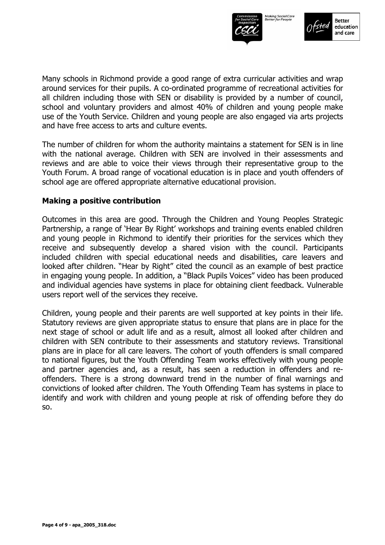



Many schools in Richmond provide a good range of extra curricular activities and wrap around services for their pupils. A co-ordinated programme of recreational activities for all children including those with SEN or disability is provided by a number of council, school and voluntary providers and almost 40% of children and young people make use of the Youth Service. Children and young people are also engaged via arts projects and have free access to arts and culture events.

The number of children for whom the authority maintains a statement for SEN is in line with the national average. Children with SEN are involved in their assessments and reviews and are able to voice their views through their representative group to the Youth Forum. A broad range of vocational education is in place and youth offenders of school age are offered appropriate alternative educational provision.

#### **Making a positive contribution**

Outcomes in this area are good. Through the Children and Young Peoples Strategic Partnership, a range of 'Hear By Right' workshops and training events enabled children and young people in Richmond to identify their priorities for the services which they receive and subsequently develop a shared vision with the council. Participants included children with special educational needs and disabilities, care leavers and looked after children. "Hear by Right" cited the council as an example of best practice in engaging young people. In addition, a "Black Pupils Voices" video has been produced and individual agencies have systems in place for obtaining client feedback. Vulnerable users report well of the services they receive.

Children, young people and their parents are well supported at key points in their life. Statutory reviews are given appropriate status to ensure that plans are in place for the next stage of school or adult life and as a result, almost all looked after children and children with SEN contribute to their assessments and statutory reviews. Transitional plans are in place for all care leavers. The cohort of youth offenders is small compared to national figures, but the Youth Offending Team works effectively with young people and partner agencies and, as a result, has seen a reduction in offenders and reoffenders. There is a strong downward trend in the number of final warnings and convictions of looked after children. The Youth Offending Team has systems in place to identify and work with children and young people at risk of offending before they do so.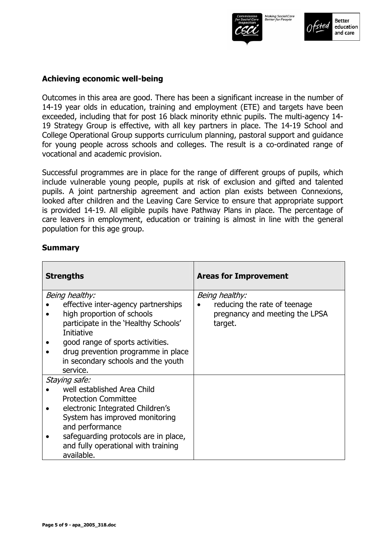



#### **Achieving economic well-being**

Outcomes in this area are good. There has been a significant increase in the number of 14-19 year olds in education, training and employment (ETE) and targets have been exceeded, including that for post 16 black minority ethnic pupils. The multi-agency 14- 19 Strategy Group is effective, with all key partners in place. The 14-19 School and College Operational Group supports curriculum planning, pastoral support and guidance for young people across schools and colleges. The result is a co-ordinated range of vocational and academic provision.

Successful programmes are in place for the range of different groups of pupils, which include vulnerable young people, pupils at risk of exclusion and gifted and talented pupils. A joint partnership agreement and action plan exists between Connexions, looked after children and the Leaving Care Service to ensure that appropriate support is provided 14-19. All eligible pupils have Pathway Plans in place. The percentage of care leavers in employment, education or training is almost in line with the general population for this age group.

#### **Summary**

| <b>Strengths</b> |                                                                   | <b>Areas for Improvement</b>                                   |  |
|------------------|-------------------------------------------------------------------|----------------------------------------------------------------|--|
| Being healthy:   |                                                                   | Being healthy:                                                 |  |
|                  | effective inter-agency partnerships<br>high proportion of schools | reducing the rate of teenage<br>pregnancy and meeting the LPSA |  |
|                  | participate in the 'Healthy Schools'<br>Initiative                | target.                                                        |  |
|                  | good range of sports activities.                                  |                                                                |  |
|                  | drug prevention programme in place                                |                                                                |  |
|                  | in secondary schools and the youth<br>service.                    |                                                                |  |
| Staying safe:    |                                                                   |                                                                |  |
|                  | well established Area Child                                       |                                                                |  |
|                  | <b>Protection Committee</b>                                       |                                                                |  |
|                  | electronic Integrated Children's                                  |                                                                |  |
|                  | System has improved monitoring                                    |                                                                |  |
|                  | and performance                                                   |                                                                |  |
|                  | safeguarding protocols are in place,                              |                                                                |  |
|                  | and fully operational with training<br>available.                 |                                                                |  |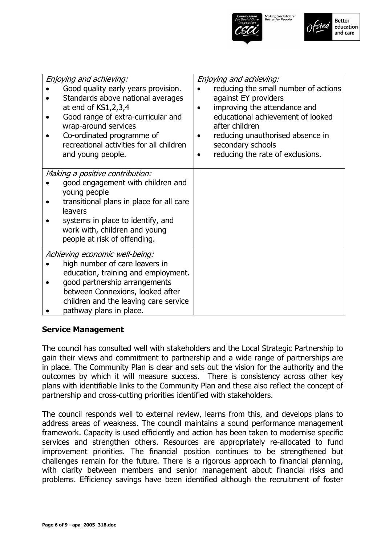



| Enjoying and achieving:<br>Good quality early years provision.<br>Standards above national averages<br>at end of KS1,2,3,4<br>Good range of extra-curricular and<br>wrap-around services<br>Co-ordinated programme of<br>recreational activities for all children<br>and young people. | Enjoying and achieving:<br>reducing the small number of actions<br>against EY providers<br>improving the attendance and<br>$\bullet$<br>educational achievement of looked<br>after children<br>reducing unauthorised absence in<br>$\bullet$<br>secondary schools<br>reducing the rate of exclusions.<br>$\bullet$ |
|----------------------------------------------------------------------------------------------------------------------------------------------------------------------------------------------------------------------------------------------------------------------------------------|--------------------------------------------------------------------------------------------------------------------------------------------------------------------------------------------------------------------------------------------------------------------------------------------------------------------|
| Making a positive contribution:<br>good engagement with children and<br>young people<br>transitional plans in place for all care<br>leavers<br>systems in place to identify, and<br>work with, children and young<br>people at risk of offending.                                      |                                                                                                                                                                                                                                                                                                                    |
| Achieving economic well-being:<br>high number of care leavers in<br>education, training and employment.<br>good partnership arrangements<br>between Connexions, looked after<br>children and the leaving care service<br>pathway plans in place.                                       |                                                                                                                                                                                                                                                                                                                    |

#### **Service Management**

The council has consulted well with stakeholders and the Local Strategic Partnership to gain their views and commitment to partnership and a wide range of partnerships are in place. The Community Plan is clear and sets out the vision for the authority and the outcomes by which it will measure success. There is consistency across other key plans with identifiable links to the Community Plan and these also reflect the concept of partnership and cross-cutting priorities identified with stakeholders.

The council responds well to external review, learns from this, and develops plans to address areas of weakness. The council maintains a sound performance management framework. Capacity is used efficiently and action has been taken to modernise specific services and strengthen others. Resources are appropriately re-allocated to fund improvement priorities. The financial position continues to be strengthened but challenges remain for the future. There is a rigorous approach to financial planning, with clarity between members and senior management about financial risks and problems. Efficiency savings have been identified although the recruitment of foster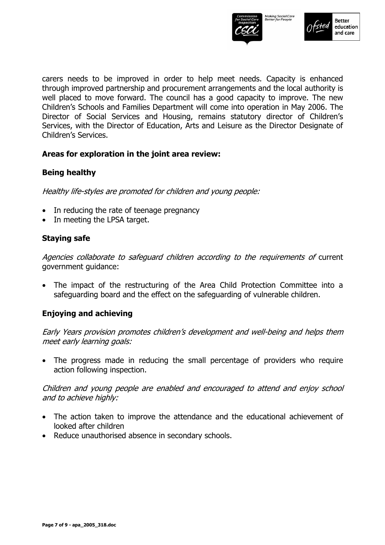



carers needs to be improved in order to help meet needs. Capacity is enhanced through improved partnership and procurement arrangements and the local authority is well placed to move forward. The council has a good capacity to improve. The new Childrenís Schools and Families Department will come into operation in May 2006. The Director of Social Services and Housing, remains statutory director of Children's Services, with the Director of Education, Arts and Leisure as the Director Designate of Children's Services.

#### **Areas for exploration in the joint area review:**

#### **Being healthy**

Healthy life-styles are promoted for children and young people:

- In reducing the rate of teenage pregnancy
- In meeting the LPSA target.

#### **Staying safe**

Agencies collaborate to safeguard children according to the requirements of current government guidance:

• The impact of the restructuring of the Area Child Protection Committee into a safeguarding board and the effect on the safeguarding of vulnerable children.

#### **Enjoying and achieving**

Early Years provision promotes children's development and well-being and helps them meet early learning goals:

• The progress made in reducing the small percentage of providers who require action following inspection.

Children and young people are enabled and encouraged to attend and enjoy school and to achieve highly:

- The action taken to improve the attendance and the educational achievement of looked after children
- Reduce unauthorised absence in secondary schools.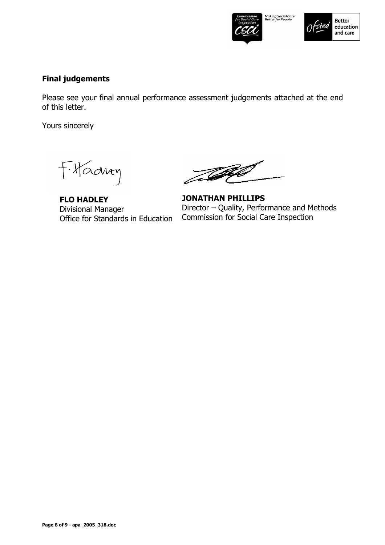



## **Final judgements**

Please see your final annual performance assessment judgements attached at the end of this letter.

Yours sincerely

Fitadry

**FLO HADLEY**  Divisional Manager Office for Standards in Education

The

**JONATHAN PHILLIPS**  Director – Quality, Performance and Methods Commission for Social Care Inspection